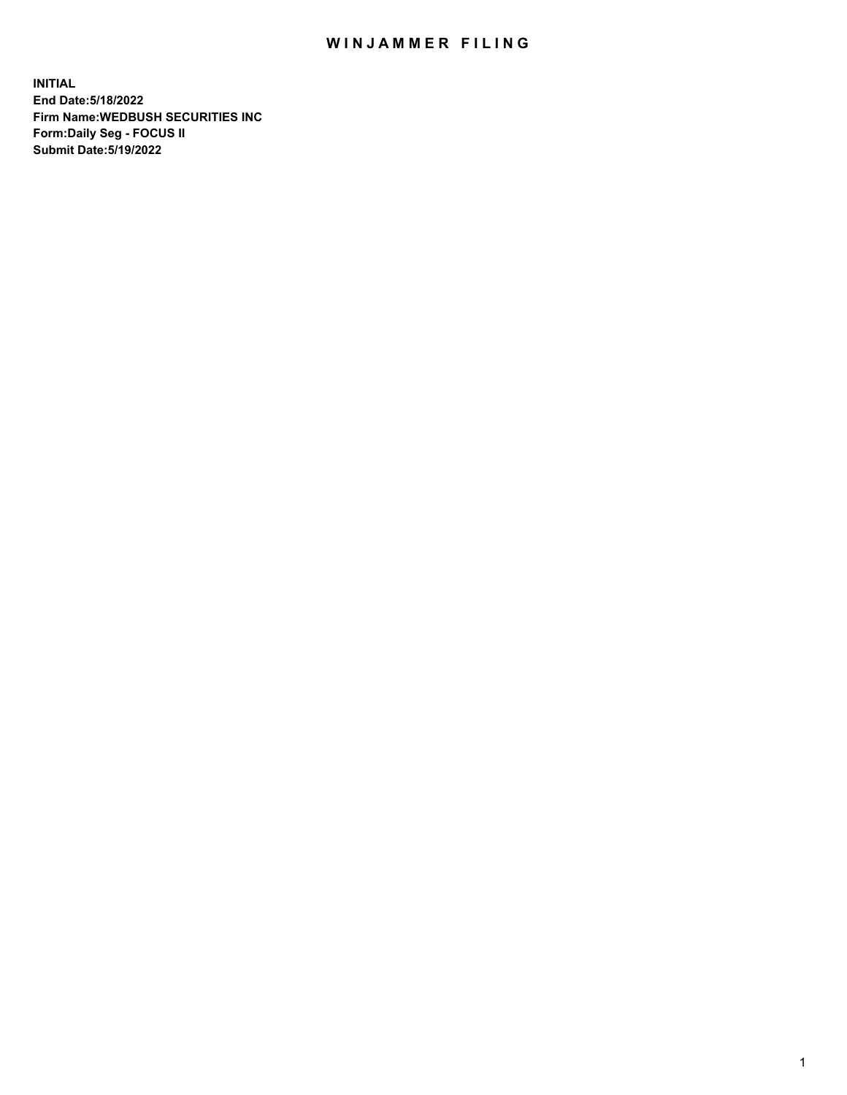## WIN JAMMER FILING

**INITIAL End Date:5/18/2022 Firm Name:WEDBUSH SECURITIES INC Form:Daily Seg - FOCUS II Submit Date:5/19/2022**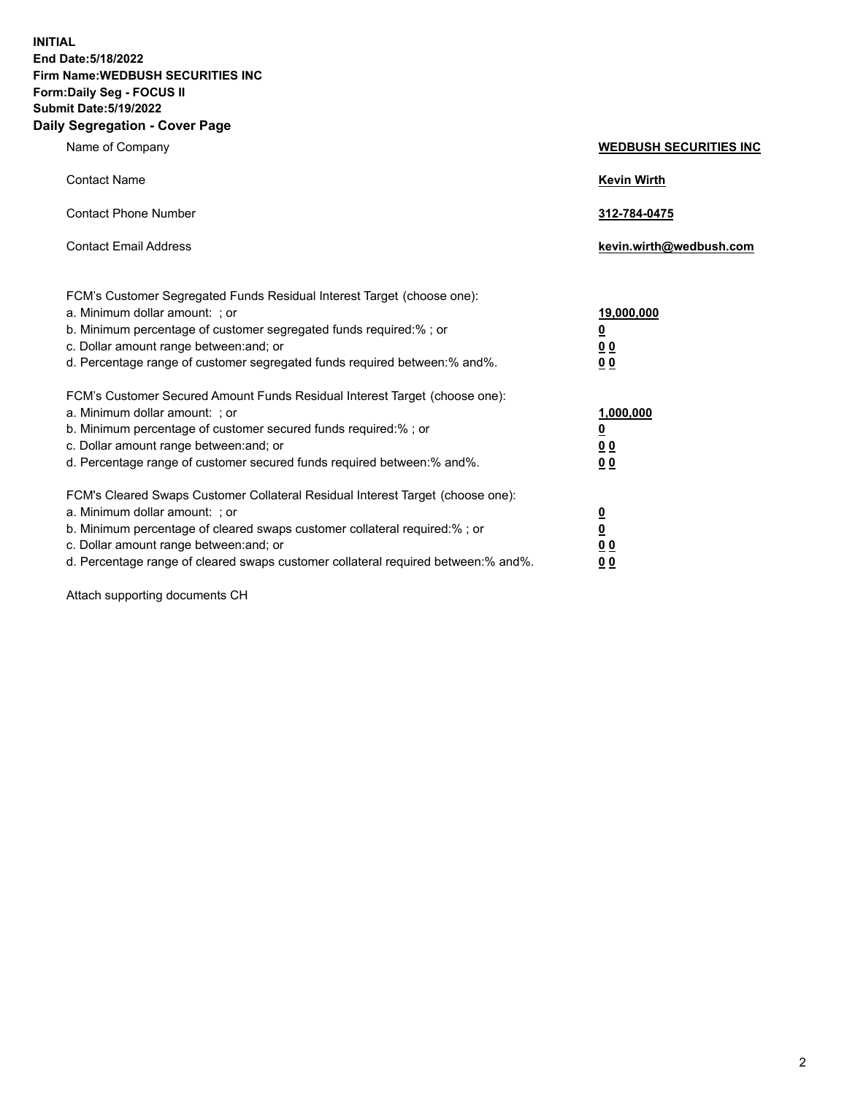**INITIAL End Date:5/18/2022 Firm Name:WEDBUSH SECURITIES INC Form:Daily Seg - FOCUS II Submit Date:5/19/2022 Daily Segregation - Cover Page**

| Name of Company                                                                                                                                                                                                                                                                                        | <b>WEDBUSH SECURITIES INC</b>                        |  |
|--------------------------------------------------------------------------------------------------------------------------------------------------------------------------------------------------------------------------------------------------------------------------------------------------------|------------------------------------------------------|--|
| <b>Contact Name</b>                                                                                                                                                                                                                                                                                    | <b>Kevin Wirth</b>                                   |  |
| <b>Contact Phone Number</b>                                                                                                                                                                                                                                                                            | 312-784-0475                                         |  |
| <b>Contact Email Address</b>                                                                                                                                                                                                                                                                           | kevin.wirth@wedbush.com                              |  |
| FCM's Customer Segregated Funds Residual Interest Target (choose one):<br>a. Minimum dollar amount: ; or<br>b. Minimum percentage of customer segregated funds required:% ; or<br>c. Dollar amount range between: and; or<br>d. Percentage range of customer segregated funds required between:% and%. | 19,000,000<br><u>0</u><br>00<br>0 <sub>0</sub>       |  |
| FCM's Customer Secured Amount Funds Residual Interest Target (choose one):<br>a. Minimum dollar amount: ; or<br>b. Minimum percentage of customer secured funds required:%; or<br>c. Dollar amount range between: and; or<br>d. Percentage range of customer secured funds required between: % and %.  | 1,000,000<br><u>0</u><br><u>00</u><br>0 <sub>0</sub> |  |
| FCM's Cleared Swaps Customer Collateral Residual Interest Target (choose one):<br>a. Minimum dollar amount: ; or<br>b. Minimum percentage of cleared swaps customer collateral required:%; or<br>c. Dollar amount range between: and; or                                                               | $\frac{0}{0}$<br>0 <sub>0</sub>                      |  |

d. Percentage range of cleared swaps customer collateral required between:% and%. **0 0**

Attach supporting documents CH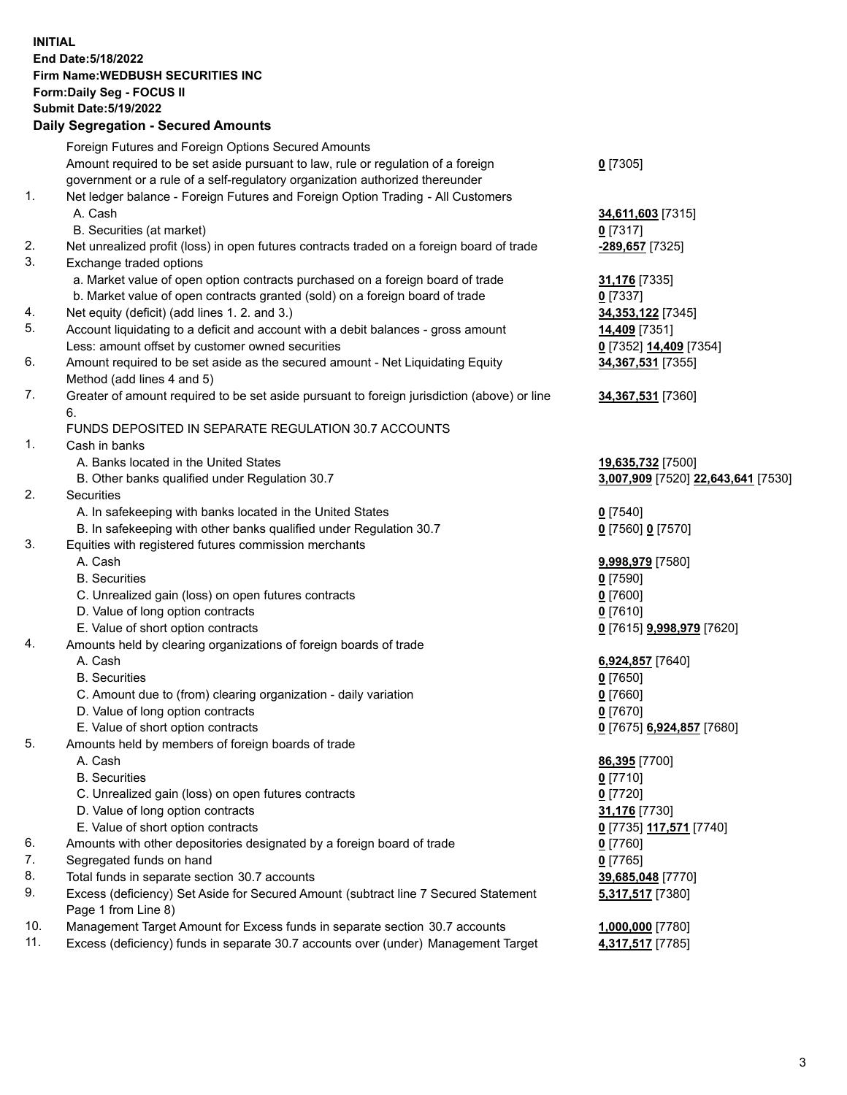**INITIAL End Date:5/18/2022 Firm Name:WEDBUSH SECURITIES INC Form:Daily Seg - FOCUS II Submit Date:5/19/2022 Daily Segregation - Secured Amounts**

|     | 2011, Ocgi ogation - Oceanea Anioanita                                                      |                                         |
|-----|---------------------------------------------------------------------------------------------|-----------------------------------------|
|     | Foreign Futures and Foreign Options Secured Amounts                                         |                                         |
|     | Amount required to be set aside pursuant to law, rule or regulation of a foreign            | $0$ [7305]                              |
|     | government or a rule of a self-regulatory organization authorized thereunder                |                                         |
| 1.  | Net ledger balance - Foreign Futures and Foreign Option Trading - All Customers             |                                         |
|     | A. Cash                                                                                     | 34,611,603 [7315]                       |
|     | B. Securities (at market)                                                                   | $0$ [7317]                              |
| 2.  | Net unrealized profit (loss) in open futures contracts traded on a foreign board of trade   | -289,657 [7325]                         |
| 3.  | Exchange traded options                                                                     |                                         |
|     | a. Market value of open option contracts purchased on a foreign board of trade              | <b>31,176</b> [7335]                    |
|     | b. Market value of open contracts granted (sold) on a foreign board of trade                | $0$ [7337]                              |
| 4.  | Net equity (deficit) (add lines 1. 2. and 3.)                                               | 34, 353, 122 [7345]                     |
| 5.  | Account liquidating to a deficit and account with a debit balances - gross amount           | 14,409 [7351]                           |
|     | Less: amount offset by customer owned securities                                            | 0 [7352] 14,409 [7354]                  |
| 6.  | Amount required to be set aside as the secured amount - Net Liquidating Equity              | 34,367,531 [7355]                       |
|     | Method (add lines 4 and 5)                                                                  |                                         |
| 7.  | Greater of amount required to be set aside pursuant to foreign jurisdiction (above) or line | 34,367,531 [7360]                       |
|     | 6.                                                                                          |                                         |
|     | FUNDS DEPOSITED IN SEPARATE REGULATION 30.7 ACCOUNTS                                        |                                         |
| 1.  | Cash in banks                                                                               |                                         |
|     | A. Banks located in the United States                                                       | 19,635,732 [7500]                       |
|     | B. Other banks qualified under Regulation 30.7                                              | 3,007,909 [7520] 22,643,641 [7530]      |
| 2.  | <b>Securities</b>                                                                           |                                         |
|     | A. In safekeeping with banks located in the United States                                   | $0$ [7540]                              |
|     | B. In safekeeping with other banks qualified under Regulation 30.7                          | 0 [7560] 0 [7570]                       |
| 3.  | Equities with registered futures commission merchants                                       |                                         |
|     | A. Cash                                                                                     | 9,998,979 [7580]                        |
|     | <b>B.</b> Securities                                                                        | $0$ [7590]                              |
|     | C. Unrealized gain (loss) on open futures contracts                                         | $0$ [7600]                              |
|     | D. Value of long option contracts                                                           | $0$ [7610]                              |
|     | E. Value of short option contracts                                                          | <u>0</u> [7615] <u>9,998,979</u> [7620] |
| 4.  | Amounts held by clearing organizations of foreign boards of trade                           |                                         |
|     | A. Cash                                                                                     | 6,924,857 [7640]                        |
|     | <b>B.</b> Securities                                                                        | <u>0</u> [7650]                         |
|     | C. Amount due to (from) clearing organization - daily variation                             | $0$ [7660]                              |
|     | D. Value of long option contracts                                                           | $0$ [7670]                              |
|     | E. Value of short option contracts                                                          | 0 [7675] 6,924,857 [7680]               |
| 5.  | Amounts held by members of foreign boards of trade                                          |                                         |
|     | A. Cash                                                                                     | 86,395 [7700]                           |
|     | <b>B.</b> Securities                                                                        | $0$ [7710]                              |
|     | C. Unrealized gain (loss) on open futures contracts                                         | $0$ [7720]                              |
|     | D. Value of long option contracts                                                           | 31,176 [7730]                           |
| 6.  | E. Value of short option contracts                                                          | 0 [7735] 117,571 [7740]                 |
| 7.  | Amounts with other depositories designated by a foreign board of trade                      | 0 [7760]                                |
| 8.  | Segregated funds on hand<br>Total funds in separate section 30.7 accounts                   | $0$ [7765]                              |
| 9.  | Excess (deficiency) Set Aside for Secured Amount (subtract line 7 Secured Statement         | 39,685,048 [7770]                       |
|     | Page 1 from Line 8)                                                                         | 5,317,517 [7380]                        |
| 10. | Management Target Amount for Excess funds in separate section 30.7 accounts                 | 1,000,000 [7780]                        |
| 11. | Excess (deficiency) funds in separate 30.7 accounts over (under) Management Target          | 4,317,517 [7785]                        |
|     |                                                                                             |                                         |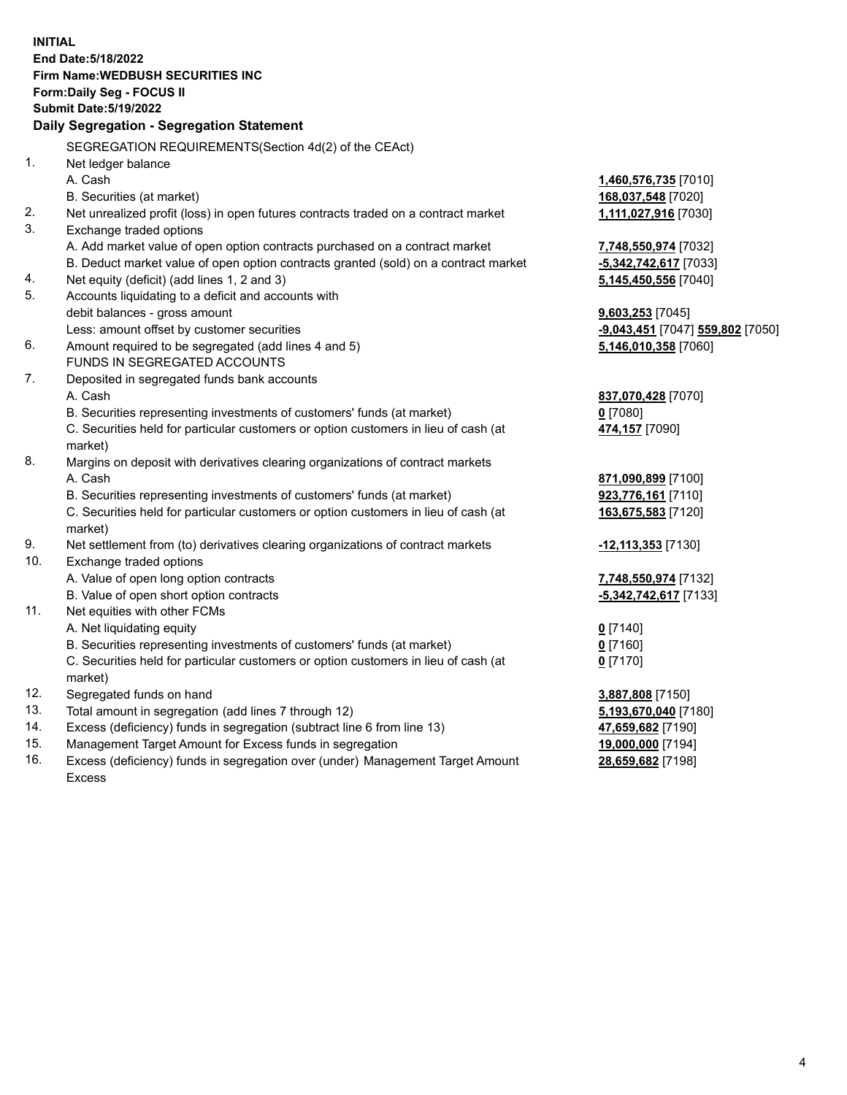|     | <b>INITIAL</b>                                                                      |                                               |
|-----|-------------------------------------------------------------------------------------|-----------------------------------------------|
|     | End Date: 5/18/2022                                                                 |                                               |
|     | <b>Firm Name: WEDBUSH SECURITIES INC</b>                                            |                                               |
|     | Form: Daily Seg - FOCUS II                                                          |                                               |
|     | <b>Submit Date: 5/19/2022</b>                                                       |                                               |
|     | Daily Segregation - Segregation Statement                                           |                                               |
|     | SEGREGATION REQUIREMENTS(Section 4d(2) of the CEAct)                                |                                               |
| 1.  | Net ledger balance                                                                  |                                               |
|     | A. Cash                                                                             | 1,460,576,735 [7010]                          |
|     | B. Securities (at market)                                                           | 168,037,548 [7020]                            |
| 2.  | Net unrealized profit (loss) in open futures contracts traded on a contract market  | 1,111,027,916 [7030]                          |
| 3.  | Exchange traded options                                                             |                                               |
|     | A. Add market value of open option contracts purchased on a contract market         | 7,748,550,974 [7032]                          |
|     | B. Deduct market value of open option contracts granted (sold) on a contract market | -5,342,742,617 [7033]                         |
| 4.  | Net equity (deficit) (add lines 1, 2 and 3)                                         | 5,145,450,556 [7040]                          |
| 5.  | Accounts liquidating to a deficit and accounts with                                 |                                               |
|     | debit balances - gross amount                                                       | 9,603,253 [7045]                              |
|     | Less: amount offset by customer securities                                          | <mark>-9,043,451</mark> [7047] 559,802 [7050] |
| 6.  | Amount required to be segregated (add lines 4 and 5)                                | 5,146,010,358 [7060]                          |
|     | FUNDS IN SEGREGATED ACCOUNTS                                                        |                                               |
| 7.  | Deposited in segregated funds bank accounts                                         |                                               |
|     | A. Cash                                                                             | 837,070,428 [7070]                            |
|     | B. Securities representing investments of customers' funds (at market)              | $0$ [7080]                                    |
|     | C. Securities held for particular customers or option customers in lieu of cash (at | 474,157 [7090]                                |
|     | market)                                                                             |                                               |
| 8.  | Margins on deposit with derivatives clearing organizations of contract markets      |                                               |
|     | A. Cash                                                                             | 871,090,899 [7100]                            |
|     | B. Securities representing investments of customers' funds (at market)              | 923,776,161 [7110]                            |
|     | C. Securities held for particular customers or option customers in lieu of cash (at | 163,675,583 [7120]                            |
|     | market)                                                                             |                                               |
| 9.  | Net settlement from (to) derivatives clearing organizations of contract markets     | -12,113,353 [7130]                            |
| 10. | Exchange traded options                                                             |                                               |
|     | A. Value of open long option contracts                                              | 7,748,550,974 [7132]                          |
|     | B. Value of open short option contracts                                             | -5,342,742,617 [7133]                         |
| 11. | Net equities with other FCMs                                                        |                                               |
|     | A. Net liquidating equity                                                           | $0$ [7140]                                    |
|     | B. Securities representing investments of customers' funds (at market)              | $0$ [7160]                                    |
|     | C. Securities held for particular customers or option customers in lieu of cash (at | $0$ [7170]                                    |
|     | market)                                                                             |                                               |
| 12. | Segregated funds on hand                                                            | 3,887,808 [7150]                              |
| 13. | Total amount in segregation (add lines 7 through 12)                                | 5,193,670,040 [7180]                          |
| 14. | Excess (deficiency) funds in segregation (subtract line 6 from line 13)             | 47,659,682 [7190]                             |
| 15. | Management Target Amount for Excess funds in segregation                            | 19,000,000 [7194]                             |
| 16. | Excess (deficiency) funds in segregation over (under) Management Target Amount      | 28,659,682 [7198]                             |

16. Excess (deficiency) funds in segregation over (under) Management Target Amount Excess